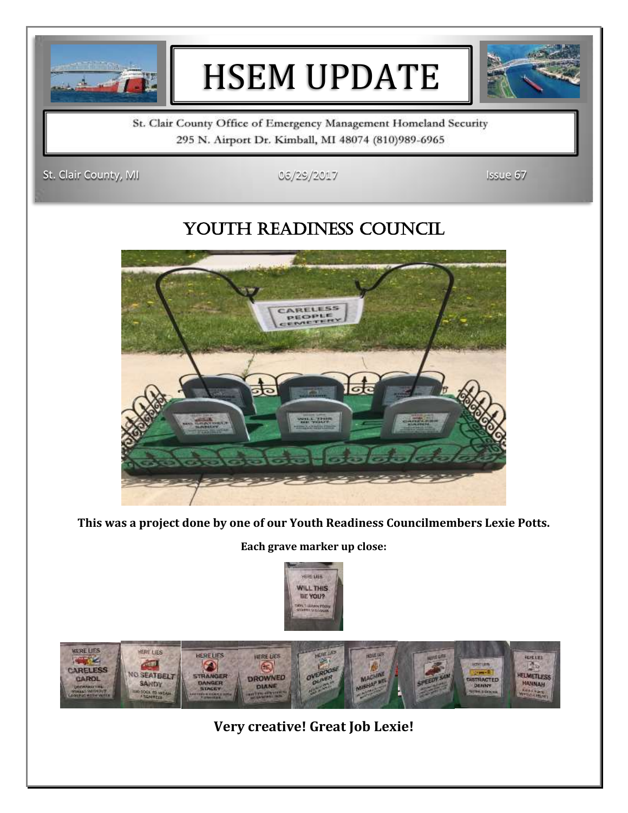

# HSEM UPDATE



St. Clair County Office of Emergency Management Homeland Security 295 N. Airport Dr. Kimball, MI 48074 (810)989-6965

St. Clair County, MI 06/29/2017 Issue 67

### YOUTH READINESS COUNCIL



**This was a project done by one of our Youth Readiness Councilmembers Lexie Potts.**

**Each grave marker up close:** 





**Very creative! Great Job Lexie!**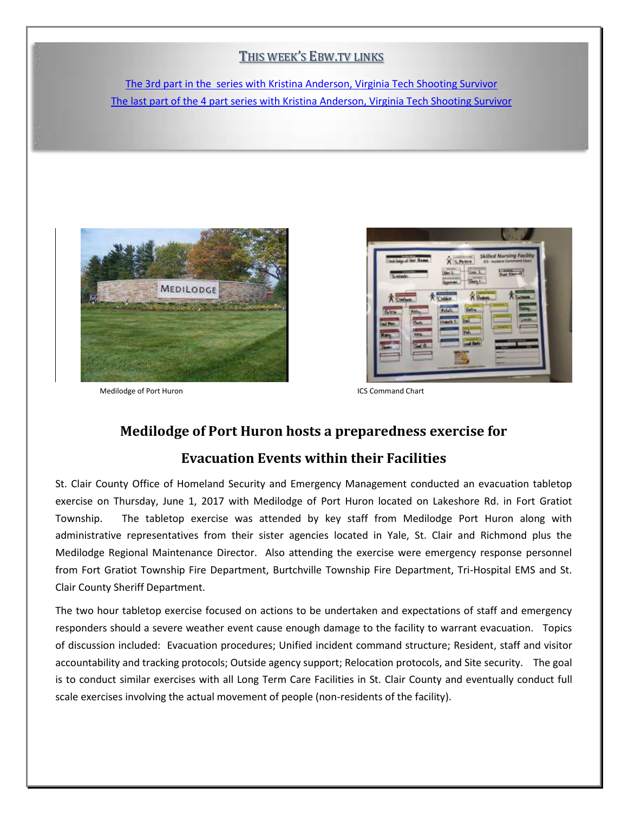#### THIS WEEK'S EBW.TV LINKS

The 3rd [part in the series with Kristina Anderson, Virginia Tech Shooting Survivor](http://ebw.tv/kristina-anderson-virginia-tech-survivor-shares-her-story-pt-3/) [The last part of the 4 part series with Kristina Anderson, Virginia Tech Shooting Survivor](http://ebw.tv/kristina-anderson-virginia-tech-survivor-shares-her-story-pt-4/)



Medilodge of Port Huron **ICS** Command Chart

 $\overline{\phantom{a}}$ 

### **Medilodge of Port Huron hosts a preparedness exercise for**

### **Evacuation Events within their Facilities**

St. Clair County Office of Homeland Security and Emergency Management conducted an evacuation tabletop exercise on Thursday, June 1, 2017 with Medilodge of Port Huron located on Lakeshore Rd. in Fort Gratiot Township. The tabletop exercise was attended by key staff from Medilodge Port Huron along with administrative representatives from their sister agencies located in Yale, St. Clair and Richmond plus the Medilodge Regional Maintenance Director. Also attending the exercise were emergency response personnel from Fort Gratiot Township Fire Department, Burtchville Township Fire Department, Tri-Hospital EMS and St. Clair County Sheriff Department.

The two hour tabletop exercise focused on actions to be undertaken and expectations of staff and emergency responders should a severe weather event cause enough damage to the facility to warrant evacuation. Topics of discussion included: Evacuation procedures; Unified incident command structure; Resident, staff and visitor accountability and tracking protocols; Outside agency support; Relocation protocols, and Site security. The goal is to conduct similar exercises with all Long Term Care Facilities in St. Clair County and eventually conduct full scale exercises involving the actual movement of people (non-residents of the facility).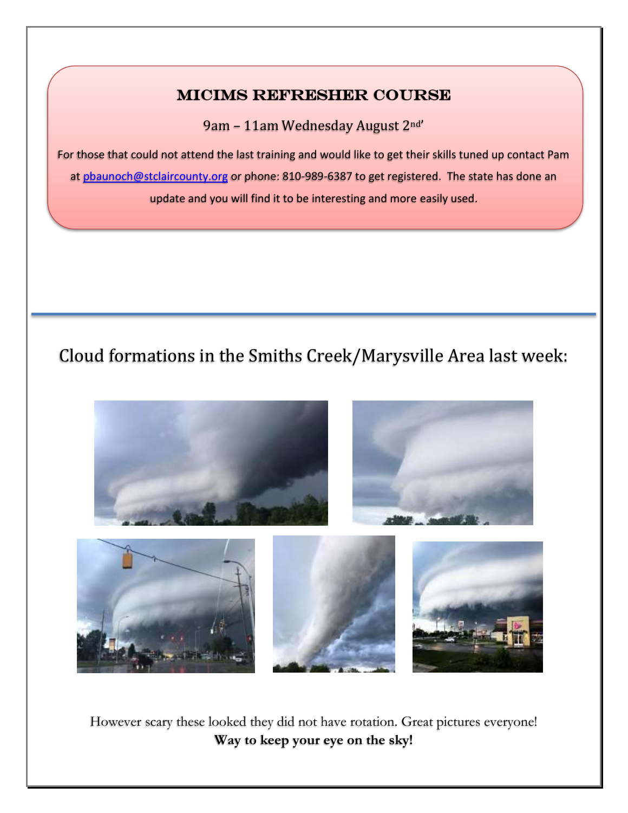### MICIMS Refresher Course

L

9am – 11am Wednesday August 2nd'

For those that could not attend the last training and would like to get their skills tuned up contact Pam at phaunoch@stclaircounty.org or phone: 810-989-6387 to get registered. The state has done an update and you will find it to be interesting and more easily used.

# Cloud formations in the Smiths Creek/Marysville Area last week:



However scary these looked they did not have rotation. Great pictures everyone! **Way to keep your eye on the sky!**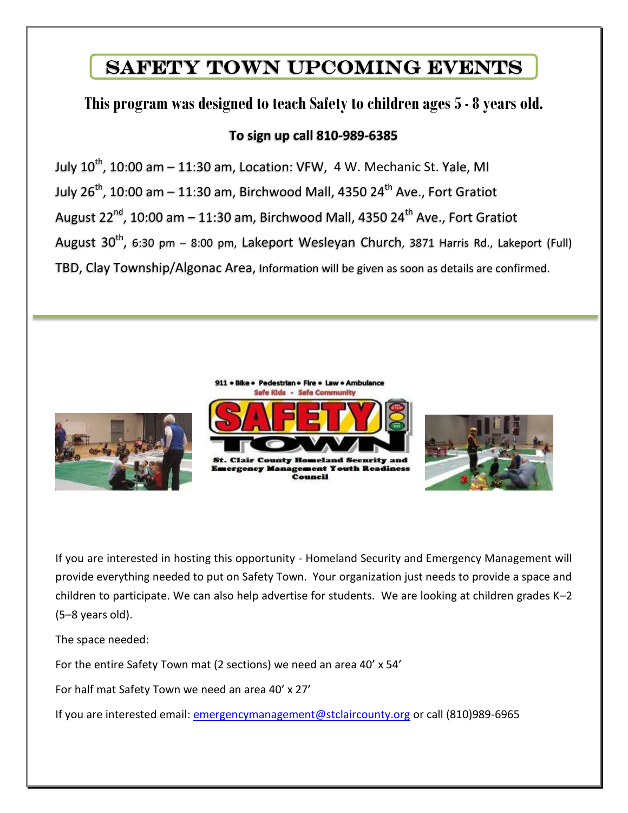### Safety Town Upcoming Events

### **This program was designed to teach Safety to children ages 5 - 8 years old.**

### **To sign up call 810-989-6385**

July 10<sup>th</sup>, 10:00 am – 11:30 am, Location: VFW, 4 W. Mechanic St. Yale, MI July 26<sup>th</sup>, 10:00 am – 11:30 am, Birchwood Mall, 4350 24<sup>th</sup> Ave., Fort Gratiot August  $22^{nd}$ , 10:00 am – 11:30 am, Birchwood Mall, 4350  $24^{th}$  Ave., Fort Gratiot August 30<sup>th</sup>, 6:30 pm – 8:00 pm, Lakeport Wesleyan Church, 3871 Harris Rd., Lakeport (Full) TBD, Clay Township/Algonac Area, Information will be given as soon as details are confirmed.



If you are interested in hosting this opportunity - Homeland Security and Emergency Management will provide everything needed to put on Safety Town. Your organization just needs to provide a space and children to participate. We can also help advertise for students. We are looking at children grades K–2 (5–8 years old).

The space needed:

For the entire Safety Town mat (2 sections) we need an area 40' x 54'

For half mat Safety Town we need an area 40' x 27'

If you are interested email: [emergencymanagement@stclaircounty.org](mailto:emergencymanagement@stclaircounty.org) or call (810)989-6965